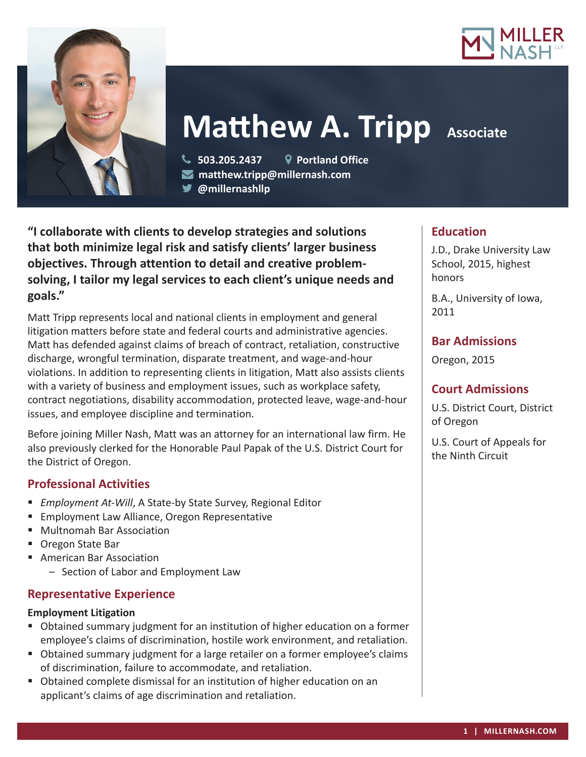



# **Matthew A. Tripp** Associate

 **503.205.2437 Portland Office matthew.tripp@millernash.com** 

**@millernashllp**

**"I collaborate with clients to develop strategies and solutions that both minimize legal risk and satisfy clients' larger business objectives. Through attention to detail and creative problemsolving, I tailor my legal services to each client's unique needs and goals."**

Matt Tripp represents local and national clients in employment and general litigation matters before state and federal courts and administrative agencies. Matt has defended against claims of breach of contract, retaliation, constructive discharge, wrongful termination, disparate treatment, and wage-and-hour violations. In addition to representing clients in litigation, Matt also assists clients with a variety of business and employment issues, such as workplace safety, contract negotiations, disability accommodation, protected leave, wage-and-hour issues, and employee discipline and termination.

Before joining Miller Nash, Matt was an attorney for an international law firm. He also previously clerked for the Honorable Paul Papak of the U.S. District Court for the District of Oregon.

## **Professional Activities**

- *Employment At-Will*, A State-by State Survey, Regional Editor
- **Employment Law Alliance, Oregon Representative**
- Multnomah Bar Association
- Oregon State Bar
- **American Bar Association** 
	- Section of Labor and Employment Law

## **Representative Experience**

#### **Employment Litigation**

- Obtained summary judgment for an institution of higher education on a former employee's claims of discrimination, hostile work environment, and retaliation.
- Obtained summary judgment for a large retailer on a former employee's claims of discrimination, failure to accommodate, and retaliation.
- Obtained complete dismissal for an institution of higher education on an applicant's claims of age discrimination and retaliation.

## **Education**

J.D., Drake University Law School, 2015, highest honors

B.A., University of Iowa, 2011

## **Bar Admissions**

Oregon, 2015

## **Court Admissions**

U.S. District Court, District of Oregon

U.S. Court of Appeals for the Ninth Circuit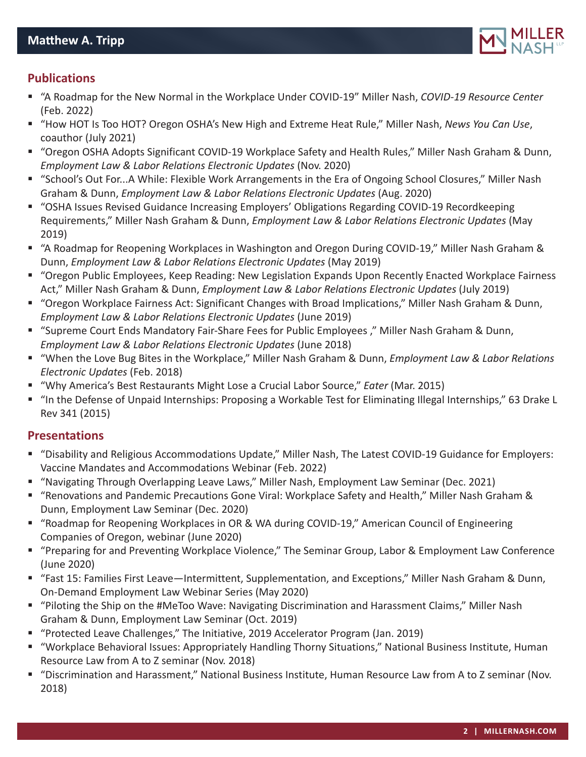

## **Publications**

- "A Roadmap for the New Normal in the Workplace Under COVID-19" Miller Nash, *COVID-19 Resource Center* (Feb. 2022)
- "How HOT Is Too HOT? Oregon OSHA's New High and Extreme Heat Rule," Miller Nash, *News You Can Use*, coauthor (July 2021)
- "Oregon OSHA Adopts Significant COVID-19 Workplace Safety and Health Rules," Miller Nash Graham & Dunn, *Employment Law & Labor Relations Electronic Updates* (Nov. 2020)
- "School's Out For...A While: Flexible Work Arrangements in the Era of Ongoing School Closures," Miller Nash Graham & Dunn, *Employment Law & Labor Relations Electronic Updates* (Aug. 2020)
- "OSHA Issues Revised Guidance Increasing Employers' Obligations Regarding COVID-19 Recordkeeping Requirements," Miller Nash Graham & Dunn, *Employment Law & Labor Relations Electronic Updates* (May 2019)
- "A Roadmap for Reopening Workplaces in Washington and Oregon During COVID-19," Miller Nash Graham & Dunn, *Employment Law & Labor Relations Electronic Updates* (May 2019)
- "Oregon Public Employees, Keep Reading: New Legislation Expands Upon Recently Enacted Workplace Fairness Act," Miller Nash Graham & Dunn, *Employment Law & Labor Relations Electronic Updates* (July 2019)
- "Oregon Workplace Fairness Act: Significant Changes with Broad Implications," Miller Nash Graham & Dunn, *Employment Law & Labor Relations Electronic Updates* (June 2019)
- "Supreme Court Ends Mandatory Fair-Share Fees for Public Employees ," Miller Nash Graham & Dunn, *Employment Law & Labor Relations Electronic Updates* (June 2018)
- "When the Love Bug Bites in the Workplace," Miller Nash Graham & Dunn, *Employment Law & Labor Relations Electronic Updates* (Feb. 2018)
- "Why America's Best Restaurants Might Lose a Crucial Labor Source," *Eater* (Mar. 2015)
- "In the Defense of Unpaid Internships: Proposing a Workable Test for Eliminating Illegal Internships," 63 Drake L Rev 341 (2015)

#### **Presentations**

- "Disability and Religious Accommodations Update," Miller Nash, The Latest COVID-19 Guidance for Employers: Vaccine Mandates and Accommodations Webinar (Feb. 2022)
- "Navigating Through Overlapping Leave Laws," Miller Nash, Employment Law Seminar (Dec. 2021)
- "Renovations and Pandemic Precautions Gone Viral: Workplace Safety and Health," Miller Nash Graham & Dunn, Employment Law Seminar (Dec. 2020)
- "Roadmap for Reopening Workplaces in OR & WA during COVID-19," American Council of Engineering Companies of Oregon, webinar (June 2020)
- "Preparing for and Preventing Workplace Violence," The Seminar Group, Labor & Employment Law Conference (June 2020)
- "Fast 15: Families First Leave—Intermittent, Supplementation, and Exceptions," Miller Nash Graham & Dunn, On-Demand Employment Law Webinar Series (May 2020)
- "Piloting the Ship on the #MeToo Wave: Navigating Discrimination and Harassment Claims," Miller Nash Graham & Dunn, Employment Law Seminar (Oct. 2019)
- "Protected Leave Challenges," The Initiative, 2019 Accelerator Program (Jan. 2019)
- "Workplace Behavioral Issues: Appropriately Handling Thorny Situations," National Business Institute, Human Resource Law from A to Z seminar (Nov. 2018)
- "Discrimination and Harassment," National Business Institute, Human Resource Law from A to Z seminar (Nov. 2018)